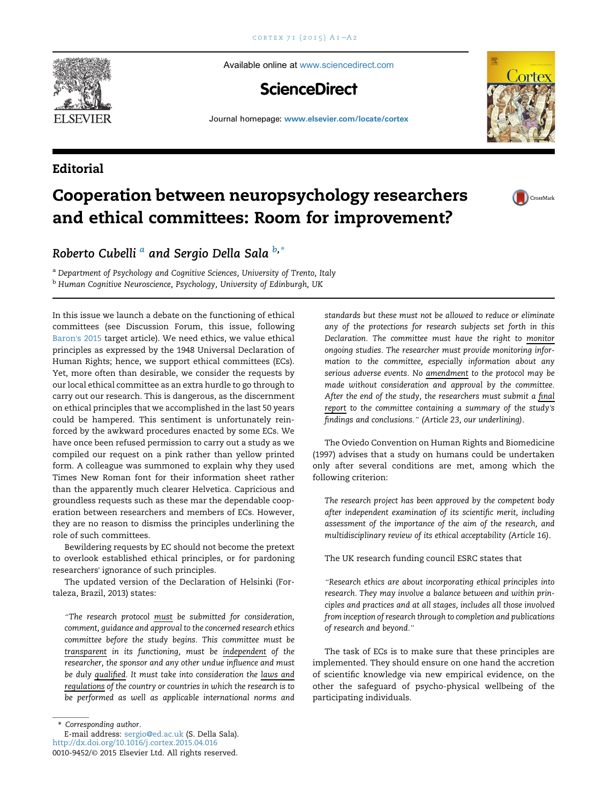

**Editorial** 

Available online at [www.sciencedirect.com](www.sciencedirect.com/science/journal/00109452)

## **ScienceDirect**





CrossMark

## Cooperation between neuropsychology researchers and ethical committees: Room for improvement?

Roberto Cubelli<sup>a</sup> and Sergio Della Sala  $b,^*$ 

a Department of Psychology and Cognitive Sciences, University of Trento, Italy <sup>b</sup> Human Cognitive Neuroscience, Psychology, University of Edinburgh, UK

In this issue we launch a debate on the functioning of ethical committees (see Discussion Forum, this issue, following Baron'[s 2015](#page-1-0) target article). We need ethics, we value ethical principles as expressed by the 1948 Universal Declaration of Human Rights; hence, we support ethical committees (ECs). Yet, more often than desirable, we consider the requests by our local ethical committee as an extra hurdle to go through to carry out our research. This is dangerous, as the discernment on ethical principles that we accomplished in the last 50 years could be hampered. This sentiment is unfortunately reinforced by the awkward procedures enacted by some ECs. We have once been refused permission to carry out a study as we compiled our request on a pink rather than yellow printed form. A colleague was summoned to explain why they used Times New Roman font for their information sheet rather than the apparently much clearer Helvetica. Capricious and groundless requests such as these mar the dependable cooperation between researchers and members of ECs. However, they are no reason to dismiss the principles underlining the role of such committees.

Bewildering requests by EC should not become the pretext to overlook established ethical principles, or for pardoning researchers' ignorance of such principles.

The updated version of the Declaration of Helsinki (Fortaleza, Brazil, 2013) states:<br>'

The research protocol must be submitted for consideration, comment, guidance and approval to the concerned research ethics committee before the study begins. This committee must be transparent in its functioning, must be independent of the researcher, the sponsor and any other undue influence and must be duly qualified. It must take into consideration the laws and regulations of the country or countries in which the research is to be performed as well as applicable international norms and

\* Corresponding author.

E-mail address: [sergio@ed.ac.uk](mailto:sergio@ed.ac.uk) (S. Della Sala). <http://dx.doi.org/10.1016/j.cortex.2015.04.016> 0010-9452/© 2015 Elsevier Ltd. All rights reserved. standards but these must not be allowed to reduce or eliminate any of the protections for research subjects set forth in this Declaration. The committee must have the right to monitor ongoing studies. The researcher must provide monitoring information to the committee, especially information about any serious adverse events. No amendment to the protocol may be made without consideration and approval by the committee. After the end of the study, the researchers must submit a final report to the committee containing a summary of the study's findings and conclusions." (Article 23, our underlining).

The Oviedo Convention on Human Rights and Biomedicine (1997) advises that a study on humans could be undertaken only after several conditions are met, among which the following criterion:

The research project has been approved by the competent body after independent examination of its scientific merit, including assessment of the importance of the aim of the research, and multidisciplinary review of its ethical acceptability (Article 16).

The UK research funding council ESRC states that "

Research ethics are about incorporating ethical principles into research. They may involve a balance between and within principles and practices and at all stages, includes all those involved from inception of research through to completion and publications of research and beyond."

The task of ECs is to make sure that these principles are implemented. They should ensure on one hand the accretion of scientific knowledge via new empirical evidence, on the other the safeguard of psycho-physical wellbeing of the participating individuals.